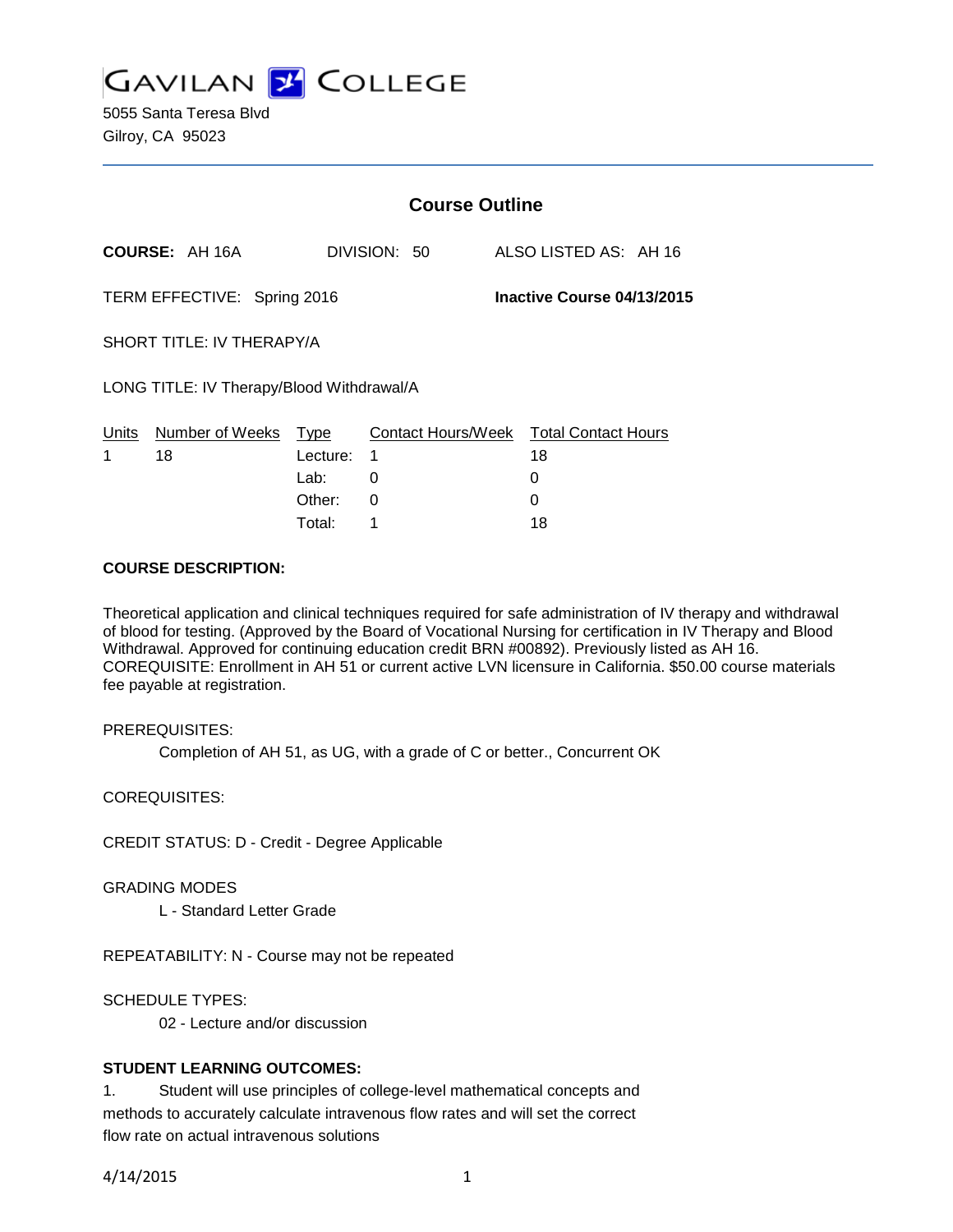

|                                                           |                       | <b>Course Outline</b> |              |  |                                        |  |
|-----------------------------------------------------------|-----------------------|-----------------------|--------------|--|----------------------------------------|--|
|                                                           | <b>COURSE: AH 16A</b> |                       | DIVISION: 50 |  | ALSO LISTED AS: AH 16                  |  |
| TERM EFFECTIVE: Spring 2016<br>Inactive Course 04/13/2015 |                       |                       |              |  |                                        |  |
| SHORT TITLE: IV THERAPY/A                                 |                       |                       |              |  |                                        |  |
| LONG TITLE: IV Therapy/Blood Withdrawal/A                 |                       |                       |              |  |                                        |  |
| Units                                                     | Number of Weeks       | Type                  |              |  | Contact Hours/Week Total Contact Hours |  |
| 1                                                         | 18                    | Lecture:              | 1            |  | 18                                     |  |
|                                                           |                       | Lab:                  | 0            |  | 0                                      |  |
|                                                           |                       | Other:                | 0            |  | 0                                      |  |

Total: 1 18

### **COURSE DESCRIPTION:**

Theoretical application and clinical techniques required for safe administration of IV therapy and withdrawal of blood for testing. (Approved by the Board of Vocational Nursing for certification in IV Therapy and Blood Withdrawal. Approved for continuing education credit BRN #00892). Previously listed as AH 16. COREQUISITE: Enrollment in AH 51 or current active LVN licensure in California. \$50.00 course materials fee payable at registration.

PREREQUISITES:

Completion of AH 51, as UG, with a grade of C or better., Concurrent OK

COREQUISITES:

CREDIT STATUS: D - Credit - Degree Applicable

GRADING MODES

L - Standard Letter Grade

REPEATABILITY: N - Course may not be repeated

SCHEDULE TYPES:

02 - Lecture and/or discussion

# **STUDENT LEARNING OUTCOMES:**

1. Student will use principles of college-level mathematical concepts and methods to accurately calculate intravenous flow rates and will set the correct flow rate on actual intravenous solutions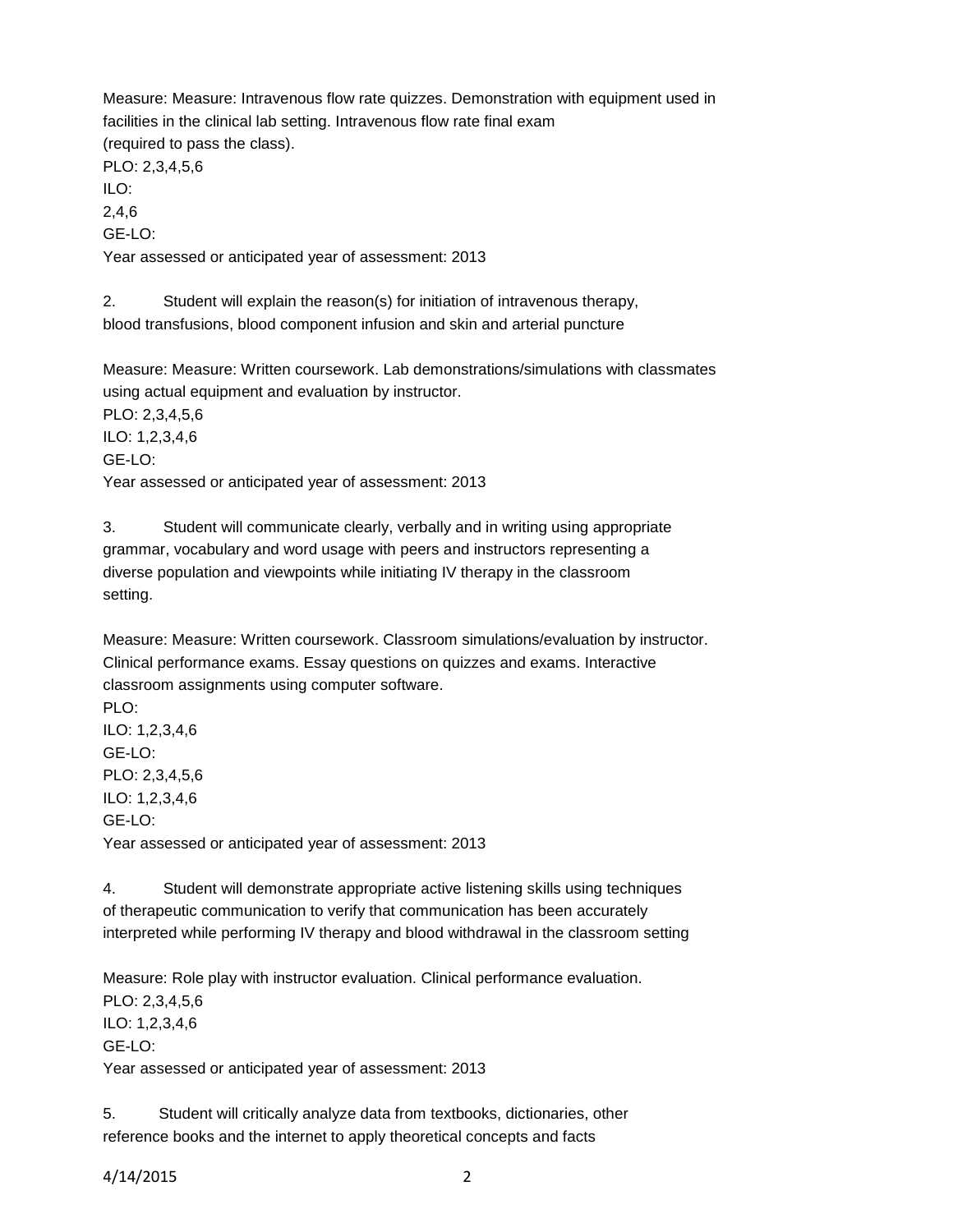Measure: Measure: Intravenous flow rate quizzes. Demonstration with equipment used in facilities in the clinical lab setting. Intravenous flow rate final exam (required to pass the class). PLO: 2,3,4,5,6 ILO: 2,4,6 GE-LO:

Year assessed or anticipated year of assessment: 2013

2. Student will explain the reason(s) for initiation of intravenous therapy, blood transfusions, blood component infusion and skin and arterial puncture

Measure: Measure: Written coursework. Lab demonstrations/simulations with classmates using actual equipment and evaluation by instructor. PLO: 2,3,4,5,6 ILO: 1,2,3,4,6 GE-LO: Year assessed or anticipated year of assessment: 2013

3. Student will communicate clearly, verbally and in writing using appropriate grammar, vocabulary and word usage with peers and instructors representing a diverse population and viewpoints while initiating IV therapy in the classroom setting.

Measure: Measure: Written coursework. Classroom simulations/evaluation by instructor. Clinical performance exams. Essay questions on quizzes and exams. Interactive classroom assignments using computer software.

PLO: ILO: 1,2,3,4,6 GE-LO: PLO: 2,3,4,5,6 ILO: 1,2,3,4,6 GE-LO: Year assessed or anticipated year of assessment: 2013

4. Student will demonstrate appropriate active listening skills using techniques of therapeutic communication to verify that communication has been accurately interpreted while performing IV therapy and blood withdrawal in the classroom setting

Measure: Role play with instructor evaluation. Clinical performance evaluation. PLO: 2,3,4,5,6 ILO: 1,2,3,4,6 GE-LO: Year assessed or anticipated year of assessment: 2013

5. Student will critically analyze data from textbooks, dictionaries, other reference books and the internet to apply theoretical concepts and facts

4/14/2015 2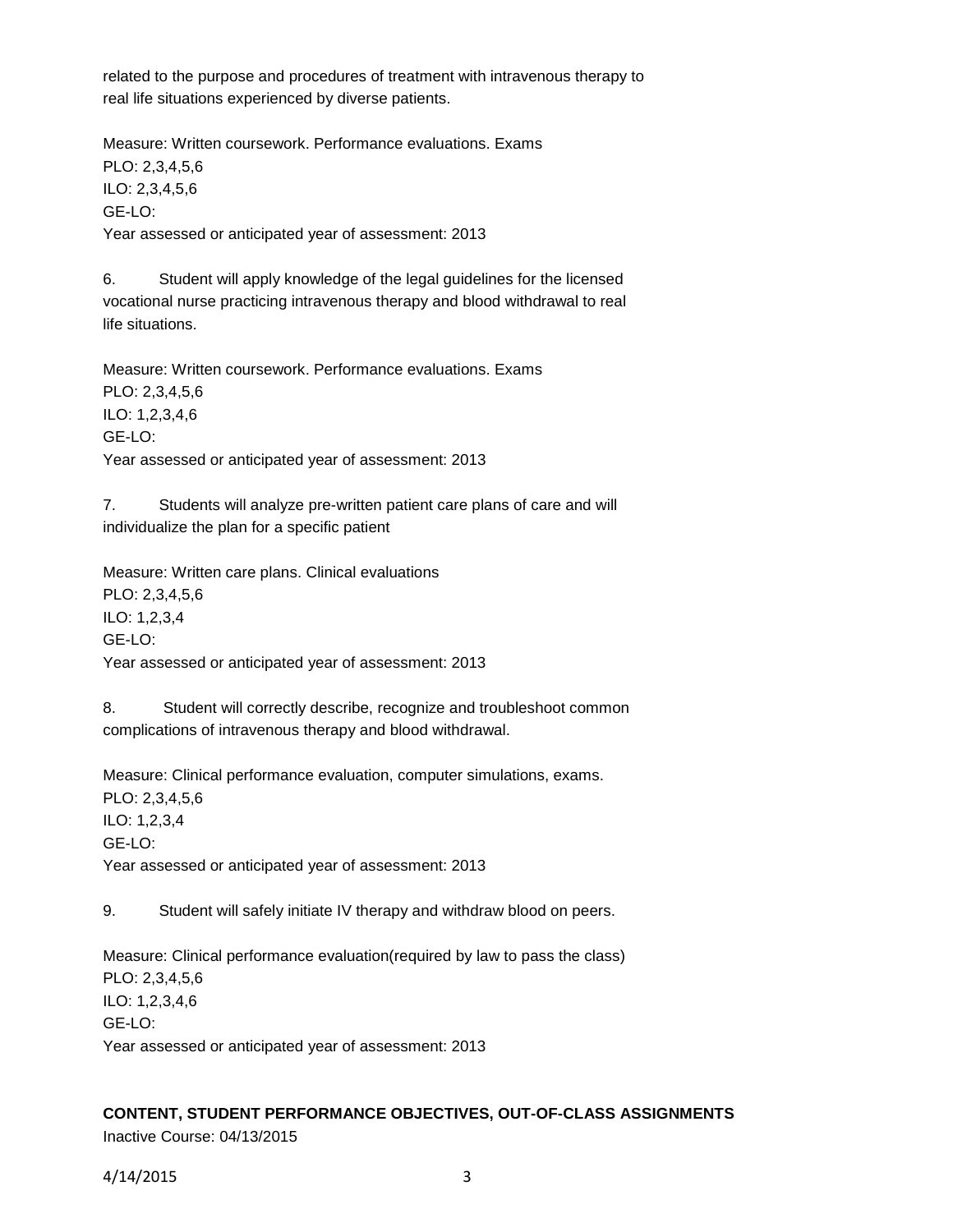related to the purpose and procedures of treatment with intravenous therapy to real life situations experienced by diverse patients.

Measure: Written coursework. Performance evaluations. Exams PLO: 2,3,4,5,6 ILO: 2,3,4,5,6 GE-LO: Year assessed or anticipated year of assessment: 2013

6. Student will apply knowledge of the legal guidelines for the licensed vocational nurse practicing intravenous therapy and blood withdrawal to real life situations.

Measure: Written coursework. Performance evaluations. Exams PLO: 2,3,4,5,6 ILO: 1,2,3,4,6 GE-LO: Year assessed or anticipated year of assessment: 2013

7. Students will analyze pre-written patient care plans of care and will individualize the plan for a specific patient

Measure: Written care plans. Clinical evaluations PLO: 2,3,4,5,6 ILO: 1,2,3,4 GE-LO: Year assessed or anticipated year of assessment: 2013

8. Student will correctly describe, recognize and troubleshoot common complications of intravenous therapy and blood withdrawal.

Measure: Clinical performance evaluation, computer simulations, exams. PLO: 2,3,4,5,6 ILO: 1,2,3,4 GE-LO: Year assessed or anticipated year of assessment: 2013

9. Student will safely initiate IV therapy and withdraw blood on peers.

Measure: Clinical performance evaluation(required by law to pass the class) PLO: 2,3,4,5,6 ILO: 1,2,3,4,6 GE-LO: Year assessed or anticipated year of assessment: 2013

## **CONTENT, STUDENT PERFORMANCE OBJECTIVES, OUT-OF-CLASS ASSIGNMENTS** Inactive Course: 04/13/2015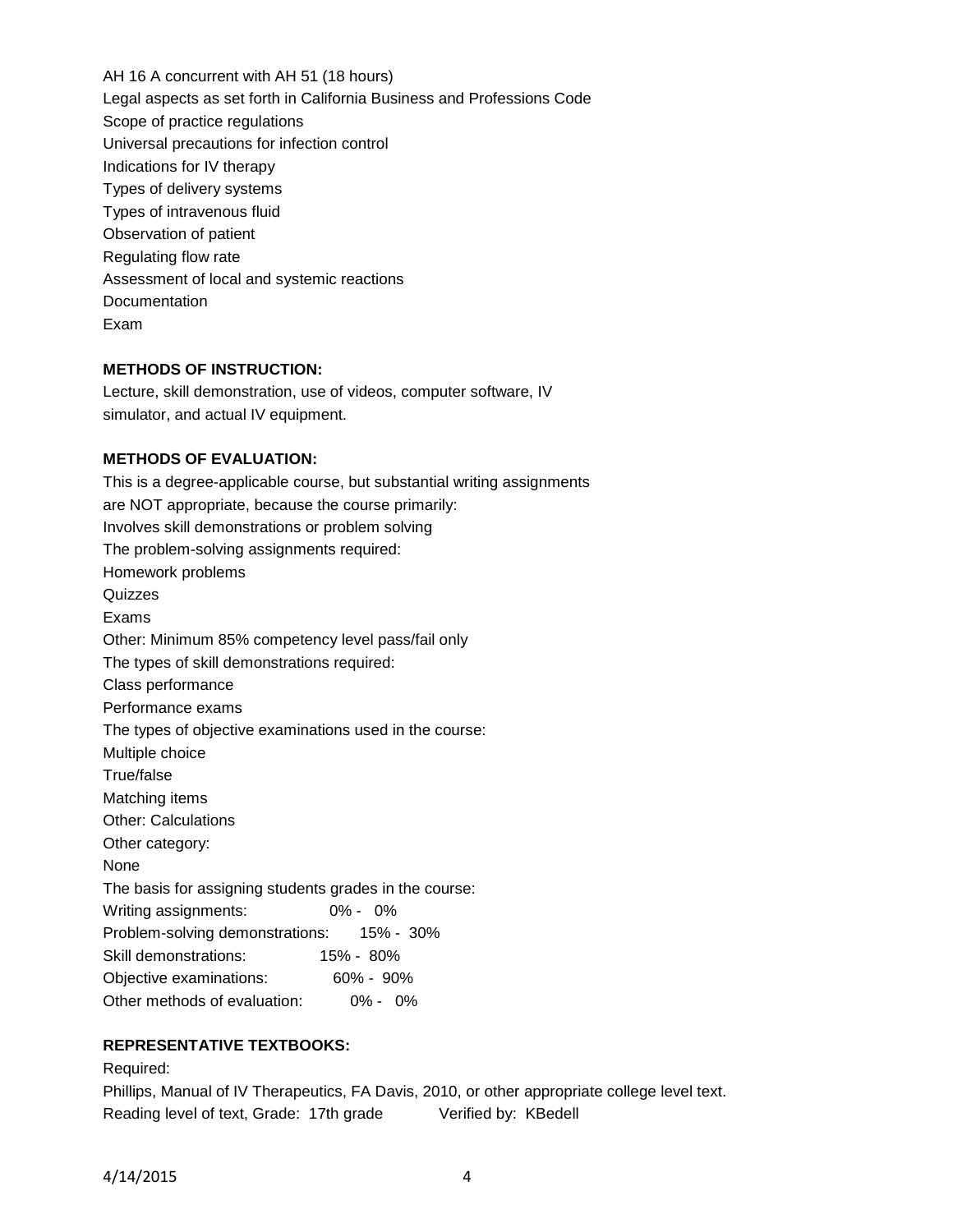AH 16 A concurrent with AH 51 (18 hours) Legal aspects as set forth in California Business and Professions Code Scope of practice regulations Universal precautions for infection control Indications for IV therapy Types of delivery systems Types of intravenous fluid Observation of patient Regulating flow rate Assessment of local and systemic reactions Documentation Exam

# **METHODS OF INSTRUCTION:**

Lecture, skill demonstration, use of videos, computer software, IV simulator, and actual IV equipment.

### **METHODS OF EVALUATION:**

This is a degree-applicable course, but substantial writing assignments are NOT appropriate, because the course primarily: Involves skill demonstrations or problem solving The problem-solving assignments required: Homework problems **Quizzes** Exams Other: Minimum 85% competency level pass/fail only The types of skill demonstrations required: Class performance Performance exams The types of objective examinations used in the course: Multiple choice True/false Matching items Other: Calculations Other category: None The basis for assigning students grades in the course: Writing assignments: 0% - 0% Problem-solving demonstrations: 15% - 30% Skill demonstrations: 15% - 80% Objective examinations: 60% - 90% Other methods of evaluation: 0% - 0%

# **REPRESENTATIVE TEXTBOOKS:**

Required:

Phillips, Manual of IV Therapeutics, FA Davis, 2010, or other appropriate college level text. Reading level of text, Grade: 17th grade Verified by: KBedell